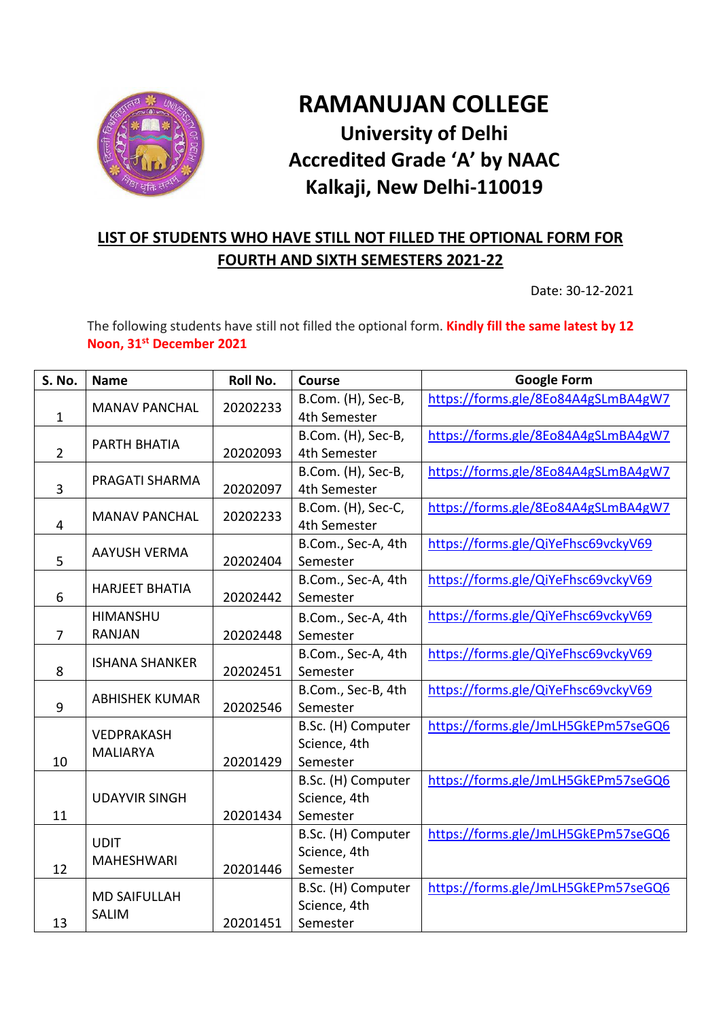

## **RAMANUJAN COLLEGE University of Delhi Accredited Grade 'A' by NAAC Kalkaji, New Delhi-110019**

## **LIST OF STUDENTS WHO HAVE STILL NOT FILLED THE OPTIONAL FORM FOR FOURTH AND SIXTH SEMESTERS 2021-22**

Date: 30-12-2021

The following students have still not filled the optional form. **Kindly fill the same latest by 12 Noon, 31st December 2021**

| S. No.         | <b>Name</b>                          | <b>Roll No.</b> | <b>Course</b>                      | <b>Google Form</b>                  |
|----------------|--------------------------------------|-----------------|------------------------------------|-------------------------------------|
|                | <b>MANAV PANCHAL</b>                 | 20202233        | B.Com. (H), Sec-B,                 | https://forms.gle/8Eo84A4gSLmBA4gW7 |
| $\mathbf{1}$   |                                      |                 | 4th Semester                       |                                     |
|                | PARTH BHATIA                         |                 | B.Com. (H), Sec-B,                 | https://forms.gle/8Eo84A4gSLmBA4gW7 |
| $\overline{2}$ |                                      | 20202093        | 4th Semester                       |                                     |
|                | PRAGATI SHARMA                       |                 | B.Com. (H), Sec-B,                 | https://forms.gle/8Eo84A4gSLmBA4gW7 |
| 3              |                                      | 20202097        | 4th Semester                       |                                     |
|                | <b>MANAV PANCHAL</b>                 | 20202233        | B.Com. (H), Sec-C,                 | https://forms.gle/8Eo84A4gSLmBA4gW7 |
| 4              |                                      |                 | 4th Semester                       |                                     |
|                | <b>AAYUSH VERMA</b>                  |                 | B.Com., Sec-A, 4th                 | https://forms.gle/QiYeFhsc69vckyV69 |
| 5              |                                      | 20202404        | Semester                           |                                     |
|                | <b>HARJEET BHATIA</b>                |                 | B.Com., Sec-A, 4th                 | https://forms.gle/QiYeFhsc69vckyV69 |
| 6              |                                      | 20202442        | Semester                           |                                     |
|                | <b>HIMANSHU</b>                      |                 | B.Com., Sec-A, 4th                 | https://forms.gle/QiYeFhsc69vckyV69 |
| $\overline{7}$ | <b>RANJAN</b>                        | 20202448        | Semester                           |                                     |
|                | <b>ISHANA SHANKER</b>                |                 | B.Com., Sec-A, 4th                 | https://forms.gle/QiYeFhsc69vckyV69 |
| 8              |                                      | 20202451        | Semester                           |                                     |
|                | <b>ABHISHEK KUMAR</b>                |                 | B.Com., Sec-B, 4th                 | https://forms.gle/QiYeFhsc69vckyV69 |
| 9              |                                      | 20202546        | Semester                           |                                     |
|                | <b>VEDPRAKASH</b><br><b>MALIARYA</b> |                 | B.Sc. (H) Computer                 | https://forms.gle/JmLH5GkEPm57seGQ6 |
|                |                                      |                 | Science, 4th                       |                                     |
| 10             |                                      | 20201429        | Semester                           |                                     |
|                |                                      |                 | B.Sc. (H) Computer                 | https://forms.gle/JmLH5GkEPm57seGQ6 |
| 11             | <b>UDAYVIR SINGH</b>                 |                 | Science, 4th<br>Semester           |                                     |
|                |                                      | 20201434        |                                    |                                     |
| 12             | <b>UDIT</b><br><b>MAHESHWARI</b>     |                 | B.Sc. (H) Computer<br>Science, 4th | https://forms.gle/JmLH5GkEPm57seGQ6 |
|                |                                      | 20201446        | Semester                           |                                     |
|                |                                      |                 | B.Sc. (H) Computer                 | https://forms.gle/JmLH5GkEPm57seGQ6 |
|                | <b>MD SAIFULLAH</b>                  |                 | Science, 4th                       |                                     |
| 13             | <b>SALIM</b>                         | 20201451        | Semester                           |                                     |
|                |                                      |                 |                                    |                                     |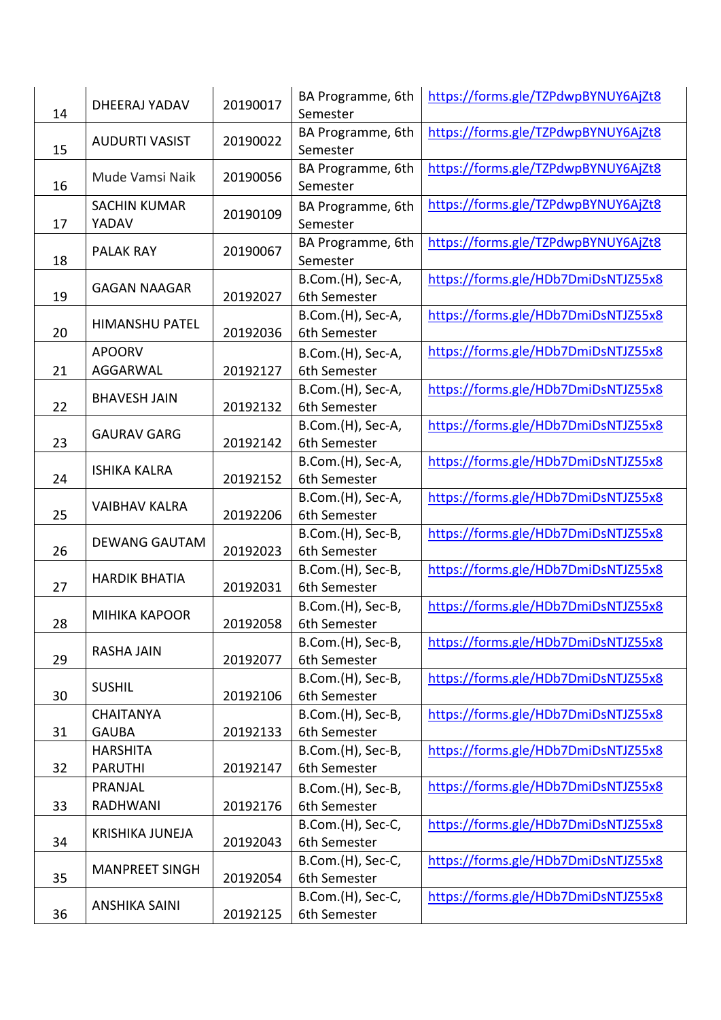| 14 | DHEERAJ YADAV                     | 20190017 | BA Programme, 6th<br>Semester     | https://forms.gle/TZPdwpBYNUY6AjZt8 |
|----|-----------------------------------|----------|-----------------------------------|-------------------------------------|
| 15 | <b>AUDURTI VASIST</b>             | 20190022 | BA Programme, 6th<br>Semester     | https://forms.gle/TZPdwpBYNUY6AjZt8 |
| 16 | Mude Vamsi Naik                   | 20190056 | BA Programme, 6th<br>Semester     | https://forms.gle/TZPdwpBYNUY6AjZt8 |
| 17 | <b>SACHIN KUMAR</b><br>YADAV      | 20190109 | BA Programme, 6th<br>Semester     | https://forms.gle/TZPdwpBYNUY6AjZt8 |
| 18 | <b>PALAK RAY</b>                  | 20190067 | BA Programme, 6th<br>Semester     | https://forms.gle/TZPdwpBYNUY6AjZt8 |
| 19 | <b>GAGAN NAAGAR</b>               | 20192027 | B.Com.(H), Sec-A,<br>6th Semester | https://forms.gle/HDb7DmiDsNTJZ55x8 |
| 20 | <b>HIMANSHU PATEL</b>             | 20192036 | B.Com.(H), Sec-A,<br>6th Semester | https://forms.gle/HDb7DmiDsNTJZ55x8 |
|    | <b>APOORV</b><br>AGGARWAL         |          | B.Com.(H), Sec-A,                 | https://forms.gle/HDb7DmiDsNTJZ55x8 |
| 21 |                                   | 20192127 | 6th Semester<br>B.Com.(H), Sec-A, | https://forms.gle/HDb7DmiDsNTJZ55x8 |
| 22 | <b>BHAVESH JAIN</b>               | 20192132 | 6th Semester                      |                                     |
|    |                                   |          | B.Com.(H), Sec-A,                 | https://forms.gle/HDb7DmiDsNTJZ55x8 |
| 23 | <b>GAURAV GARG</b>                | 20192142 | 6th Semester                      |                                     |
|    | <b>ISHIKA KALRA</b>               |          | B.Com.(H), Sec-A,                 | https://forms.gle/HDb7DmiDsNTJZ55x8 |
|    | 24                                | 20192152 | 6th Semester                      |                                     |
| 25 | <b>VAIBHAV KALRA</b>              | 20192206 | B.Com.(H), Sec-A,<br>6th Semester | https://forms.gle/HDb7DmiDsNTJZ55x8 |
|    |                                   | 20192023 | B.Com.(H), Sec-B,                 | https://forms.gle/HDb7DmiDsNTJZ55x8 |
| 26 | <b>DEWANG GAUTAM</b>              |          | 6th Semester                      |                                     |
|    | <b>HARDIK BHATIA</b>              | 20192031 | B.Com.(H), Sec-B,                 | https://forms.gle/HDb7DmiDsNTJZ55x8 |
| 27 |                                   |          | 6th Semester                      |                                     |
|    | <b>MIHIKA KAPOOR</b>              |          | B.Com.(H), Sec-B,                 | https://forms.gle/HDb7DmiDsNTJZ55x8 |
| 28 |                                   | 20192058 | 6th Semester<br>B.Com.(H), Sec-B, | https://forms.gle/HDb7DmiDsNTJZ55x8 |
| 29 | <b>RASHA JAIN</b>                 | 20192077 | 6th Semester                      |                                     |
|    |                                   |          | B.Com.(H), Sec-B,                 | https://forms.gle/HDb7DmiDsNTJZ55x8 |
| 30 | <b>SUSHIL</b>                     | 20192106 | 6th Semester                      |                                     |
|    | <b>CHAITANYA</b>                  |          | B.Com.(H), Sec-B,                 | https://forms.gle/HDb7DmiDsNTJZ55x8 |
| 31 | <b>GAUBA</b>                      | 20192133 | 6th Semester                      |                                     |
| 32 | <b>HARSHITA</b><br><b>PARUTHI</b> | 20192147 | B.Com.(H), Sec-B,<br>6th Semester | https://forms.gle/HDb7DmiDsNTJZ55x8 |
|    | PRANJAL                           |          | B.Com.(H), Sec-B,                 | https://forms.gle/HDb7DmiDsNTJZ55x8 |
| 33 | RADHWANI                          | 20192176 | 6th Semester                      |                                     |
|    | <b>KRISHIKA JUNEJA</b>            |          | B.Com.(H), Sec-C,                 | https://forms.gle/HDb7DmiDsNTJZ55x8 |
| 34 |                                   | 20192043 | 6th Semester                      |                                     |
|    | <b>MANPREET SINGH</b>             |          | B.Com.(H), Sec-C,                 | https://forms.gle/HDb7DmiDsNTJZ55x8 |
| 35 |                                   | 20192054 | 6th Semester                      |                                     |
|    | <b>ANSHIKA SAINI</b>              |          | B.Com.(H), Sec-C,                 | https://forms.gle/HDb7DmiDsNTJZ55x8 |
| 36 |                                   | 20192125 | 6th Semester                      |                                     |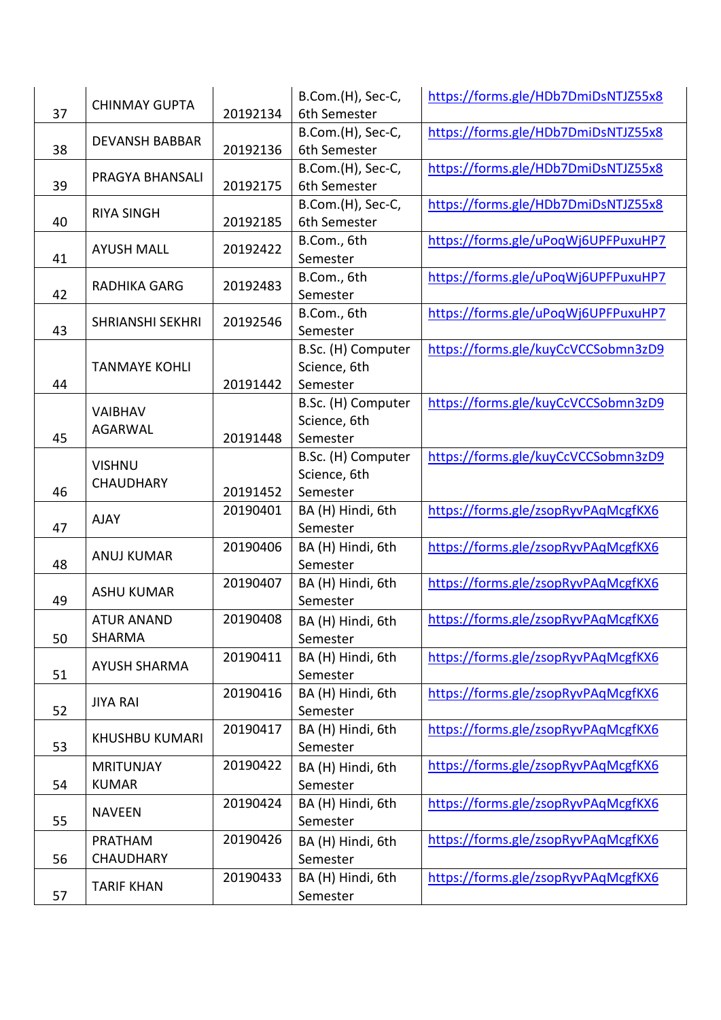|    | <b>CHINMAY GUPTA</b>    |          | B.Com.(H), Sec-C,  | https://forms.gle/HDb7DmiDsNTJZ55x8 |
|----|-------------------------|----------|--------------------|-------------------------------------|
| 37 |                         | 20192134 | 6th Semester       |                                     |
|    | <b>DEVANSH BABBAR</b>   |          | B.Com.(H), Sec-C,  | https://forms.gle/HDb7DmiDsNTJZ55x8 |
| 38 |                         | 20192136 | 6th Semester       |                                     |
|    | PRAGYA BHANSALI         |          | B.Com.(H), Sec-C,  | https://forms.gle/HDb7DmiDsNTJZ55x8 |
| 39 |                         | 20192175 | 6th Semester       |                                     |
|    | <b>RIYA SINGH</b>       |          | B.Com.(H), Sec-C,  | https://forms.gle/HDb7DmiDsNTJZ55x8 |
| 40 |                         | 20192185 | 6th Semester       |                                     |
|    | <b>AYUSH MALL</b>       | 20192422 | B.Com., 6th        | https://forms.gle/uPoqWj6UPFPuxuHP7 |
| 41 |                         |          | Semester           |                                     |
|    | <b>RADHIKA GARG</b>     | 20192483 | B.Com., 6th        | https://forms.gle/uPoqWj6UPFPuxuHP7 |
| 42 |                         |          | Semester           |                                     |
|    | <b>SHRIANSHI SEKHRI</b> | 20192546 | B.Com., 6th        | https://forms.gle/uPoqWj6UPFPuxuHP7 |
| 43 |                         |          | Semester           |                                     |
|    |                         |          | B.Sc. (H) Computer | https://forms.gle/kuyCcVCCSobmn3zD9 |
|    | <b>TANMAYE KOHLI</b>    |          | Science, 6th       |                                     |
| 44 |                         | 20191442 | Semester           |                                     |
|    | <b>VAIBHAV</b>          |          | B.Sc. (H) Computer | https://forms.gle/kuyCcVCCSobmn3zD9 |
|    | <b>AGARWAL</b>          |          | Science, 6th       |                                     |
| 45 |                         | 20191448 | Semester           |                                     |
|    | <b>VISHNU</b>           |          | B.Sc. (H) Computer | https://forms.gle/kuyCcVCCSobmn3zD9 |
|    | <b>CHAUDHARY</b>        |          | Science, 6th       |                                     |
| 46 |                         | 20191452 | Semester           |                                     |
|    | <b>AJAY</b>             | 20190401 | BA (H) Hindi, 6th  | https://forms.gle/zsopRyvPAqMcgfKX6 |
| 47 |                         |          | Semester           |                                     |
|    | <b>ANUJ KUMAR</b>       | 20190406 | BA (H) Hindi, 6th  | https://forms.gle/zsopRyvPAqMcgfKX6 |
| 48 |                         |          | Semester           |                                     |
|    | <b>ASHU KUMAR</b>       | 20190407 | BA (H) Hindi, 6th  | https://forms.gle/zsopRyvPAqMcgfKX6 |
| 49 |                         |          | Semester           |                                     |
|    | <b>ATUR ANAND</b>       | 20190408 | BA (H) Hindi, 6th  | https://forms.gle/zsopRyvPAqMcgfKX6 |
| 50 | <b>SHARMA</b>           |          | Semester           |                                     |
|    | <b>AYUSH SHARMA</b>     | 20190411 | BA (H) Hindi, 6th  | https://forms.gle/zsopRyvPAqMcgfKX6 |
| 51 |                         |          | Semester           |                                     |
|    | <b>JIYA RAI</b>         | 20190416 | BA (H) Hindi, 6th  | https://forms.gle/zsopRyvPAqMcgfKX6 |
| 52 |                         |          | Semester           |                                     |
|    | <b>KHUSHBU KUMARI</b>   | 20190417 | BA (H) Hindi, 6th  | https://forms.gle/zsopRyvPAqMcgfKX6 |
| 53 |                         |          | Semester           |                                     |
|    | <b>MRITUNJAY</b>        | 20190422 | BA (H) Hindi, 6th  | https://forms.gle/zsopRyvPAqMcgfKX6 |
| 54 | <b>KUMAR</b>            |          | Semester           |                                     |
|    | <b>NAVEEN</b>           | 20190424 | BA (H) Hindi, 6th  | https://forms.gle/zsopRyvPAqMcgfKX6 |
| 55 |                         |          | Semester           |                                     |
|    | PRATHAM                 | 20190426 | BA (H) Hindi, 6th  | https://forms.gle/zsopRyvPAqMcgfKX6 |
| 56 | <b>CHAUDHARY</b>        |          | Semester           |                                     |
|    |                         | 20190433 | BA (H) Hindi, 6th  | https://forms.gle/zsopRyvPAqMcgfKX6 |
| 57 | <b>TARIF KHAN</b>       |          | Semester           |                                     |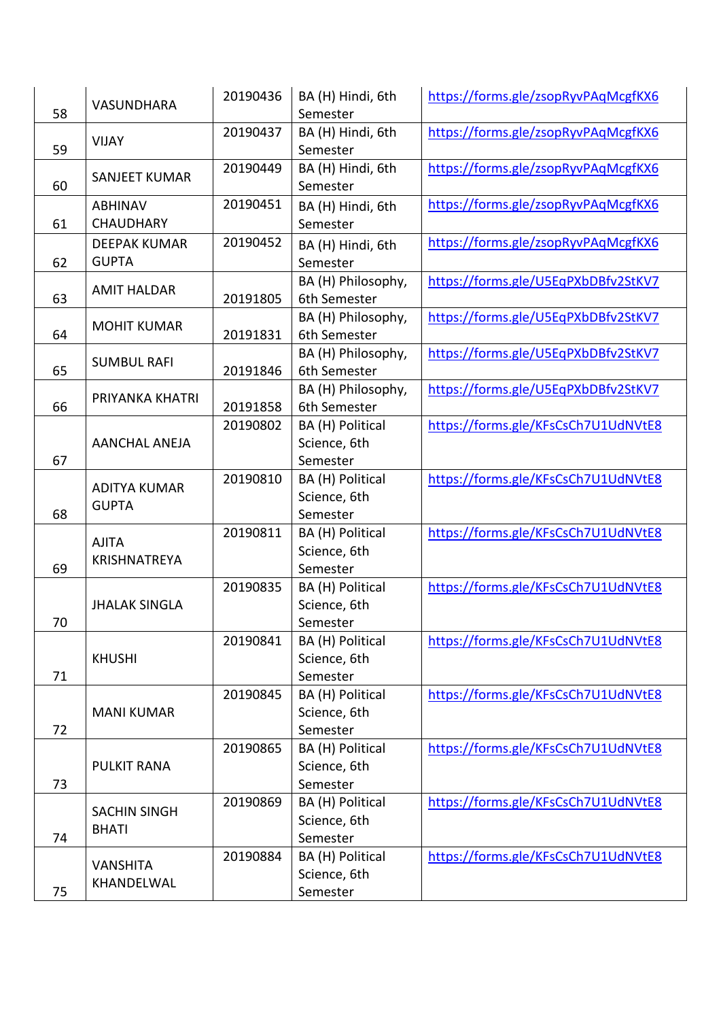| 58 | VASUNDHARA                         | 20190436 | BA (H) Hindi, 6th<br>Semester      | https://forms.gle/zsopRyvPAqMcgfKX6 |
|----|------------------------------------|----------|------------------------------------|-------------------------------------|
| 59 | <b>VIJAY</b>                       | 20190437 | BA (H) Hindi, 6th<br>Semester      | https://forms.gle/zsopRyvPAqMcgfKX6 |
| 60 | SANJEET KUMAR                      | 20190449 | BA (H) Hindi, 6th<br>Semester      | https://forms.gle/zsopRyvPAqMcgfKX6 |
| 61 | <b>ABHINAV</b><br><b>CHAUDHARY</b> | 20190451 | BA (H) Hindi, 6th<br>Semester      | https://forms.gle/zsopRyvPAqMcgfKX6 |
|    | <b>DEEPAK KUMAR</b>                | 20190452 | BA (H) Hindi, 6th                  | https://forms.gle/zsopRyvPAqMcgfKX6 |
| 62 | <b>GUPTA</b>                       |          | Semester                           |                                     |
| 63 | <b>AMIT HALDAR</b>                 | 20191805 | BA (H) Philosophy,<br>6th Semester | https://forms.gle/U5EqPXbDBfv2StKV7 |
| 64 | <b>MOHIT KUMAR</b>                 | 20191831 | BA (H) Philosophy,<br>6th Semester | https://forms.gle/U5EqPXbDBfv2StKV7 |
|    |                                    |          | BA (H) Philosophy,                 | https://forms.gle/U5EqPXbDBfv2StKV7 |
| 65 | <b>SUMBUL RAFI</b>                 | 20191846 | 6th Semester                       |                                     |
| 66 | PRIYANKA KHATRI                    | 20191858 | BA (H) Philosophy,<br>6th Semester | https://forms.gle/U5EqPXbDBfv2StKV7 |
|    |                                    | 20190802 | BA (H) Political                   | https://forms.gle/KFsCsCh7U1UdNVtE8 |
|    | <b>AANCHAL ANEJA</b>               |          | Science, 6th                       |                                     |
| 67 |                                    |          | Semester                           |                                     |
|    | <b>ADITYA KUMAR</b>                | 20190810 | BA (H) Political                   | https://forms.gle/KFsCsCh7U1UdNVtE8 |
| 68 | <b>GUPTA</b>                       |          | Science, 6th<br>Semester           |                                     |
|    |                                    | 20190811 | BA (H) Political                   | https://forms.gle/KFsCsCh7U1UdNVtE8 |
|    | <b>AJITA</b>                       |          | Science, 6th                       |                                     |
| 69 | KRISHNATREYA                       |          | Semester                           |                                     |
|    |                                    | 20190835 | BA (H) Political                   | https://forms.gle/KFsCsCh7U1UdNVtE8 |
|    | <b>JHALAK SINGLA</b>               |          | Science, 6th                       |                                     |
| 70 |                                    |          | Semester                           |                                     |
|    |                                    | 20190841 | BA (H) Political                   | https://forms.gle/KFsCsCh7U1UdNVtE8 |
| 71 | <b>KHUSHI</b>                      |          | Science, 6th<br>Semester           |                                     |
|    |                                    | 20190845 | BA (H) Political                   | https://forms.gle/KFsCsCh7U1UdNVtE8 |
|    | <b>MANI KUMAR</b>                  |          | Science, 6th                       |                                     |
| 72 |                                    |          | Semester                           |                                     |
|    |                                    | 20190865 | BA (H) Political                   | https://forms.gle/KFsCsCh7U1UdNVtE8 |
|    | <b>PULKIT RANA</b>                 |          | Science, 6th                       |                                     |
| 73 |                                    |          | Semester                           |                                     |
|    | <b>SACHIN SINGH</b>                | 20190869 | BA (H) Political                   | https://forms.gle/KFsCsCh7U1UdNVtE8 |
| 74 | <b>BHATI</b>                       |          | Science, 6th<br>Semester           |                                     |
|    |                                    | 20190884 | BA (H) Political                   | https://forms.gle/KFsCsCh7U1UdNVtE8 |
|    | <b>VANSHITA</b>                    |          | Science, 6th                       |                                     |
| 75 | KHANDELWAL                         |          | Semester                           |                                     |